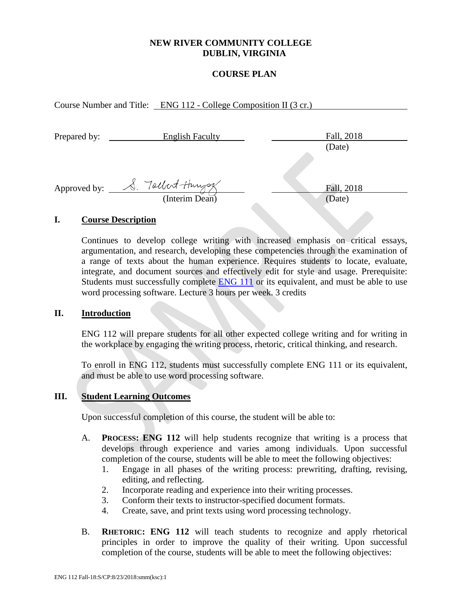## **NEW RIVER COMMUNITY COLLEGE DUBLIN, VIRGINIA**

## **COURSE PLAN**

Course Number and Title: ENG 112 - College Composition II (3 cr.)

| Prepared by: | <b>English Faculty</b> | Fall, 2018   |
|--------------|------------------------|--------------|
|              |                        | (Date)       |
|              |                        |              |
| Approved by: | S. Tochest-Hungs       | Fall, 2018   |
|              | (Interim Dean)         | (Date)       |
|              |                        | <b>STATE</b> |

#### **I. Course Description**

Continues to develop college writing with increased emphasis on critical essays, argumentation, and research, developing these competencies through the examination of a range of texts about the human experience. Requires students to locate, evaluate, integrate, and document sources and effectively edit for style and usage. Prerequisite: Students must successfully complete **ENG 111** or its equivalent, and must be able to use word processing software. Lecture 3 hours per week. 3 credits

#### **II. Introduction**

ENG 112 will prepare students for all other expected college writing and for writing in the workplace by engaging the writing process, rhetoric, critical thinking, and research.

To enroll in ENG 112, students must successfully complete ENG 111 or its equivalent, and must be able to use word processing software.

#### **III. Student Learning Outcomes**

Upon successful completion of this course, the student will be able to:

- A. **PROCESS: ENG 112** will help students recognize that writing is a process that develops through experience and varies among individuals. Upon successful completion of the course, students will be able to meet the following objectives:
	- 1. Engage in all phases of the writing process: prewriting, drafting, revising, editing, and reflecting.
	- 2. Incorporate reading and experience into their writing processes.
	- 3. Conform their texts to instructor-specified document formats.
	- 4. Create, save, and print texts using word processing technology.
- B. **RHETORIC: ENG 112** will teach students to recognize and apply rhetorical principles in order to improve the quality of their writing. Upon successful completion of the course, students will be able to meet the following objectives: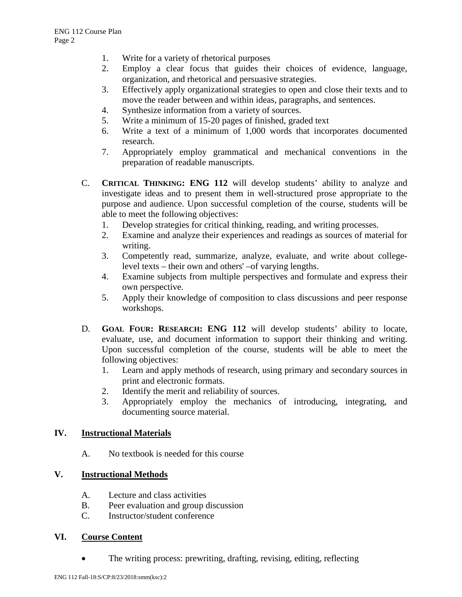- 1. Write for a variety of rhetorical purposes
- 2. Employ a clear focus that guides their choices of evidence, language, organization, and rhetorical and persuasive strategies.
- 3. Effectively apply organizational strategies to open and close their texts and to move the reader between and within ideas, paragraphs, and sentences.
- 4. Synthesize information from a variety of sources.
- 5. Write a minimum of 15-20 pages of finished, graded text
- 6. Write a text of a minimum of 1,000 words that incorporates documented research.
- 7. Appropriately employ grammatical and mechanical conventions in the preparation of readable manuscripts.
- C. **CRITICAL THINKING: ENG 112** will develop students' ability to analyze and investigate ideas and to present them in well-structured prose appropriate to the purpose and audience. Upon successful completion of the course, students will be able to meet the following objectives:
	- 1. Develop strategies for critical thinking, reading, and writing processes.
	- 2. Examine and analyze their experiences and readings as sources of material for writing.
	- 3. Competently read, summarize, analyze, evaluate, and write about collegelevel texts – their own and others' –of varying lengths.
	- 4. Examine subjects from multiple perspectives and formulate and express their own perspective.
	- 5. Apply their knowledge of composition to class discussions and peer response workshops.
- D. **GOAL FOUR: RESEARCH: ENG 112** will develop students' ability to locate, evaluate, use, and document information to support their thinking and writing. Upon successful completion of the course, students will be able to meet the following objectives:
	- 1. Learn and apply methods of research, using primary and secondary sources in print and electronic formats.
	- 2. Identify the merit and reliability of sources.
	- 3. Appropriately employ the mechanics of introducing, integrating, and documenting source material.

# **IV. Instructional Materials**

A. No textbook is needed for this course

# **V. Instructional Methods**

- A. Lecture and class activities
- B. Peer evaluation and group discussion
- C. Instructor/student conference

#### **VI. Course Content**

The writing process: prewriting, drafting, revising, editing, reflecting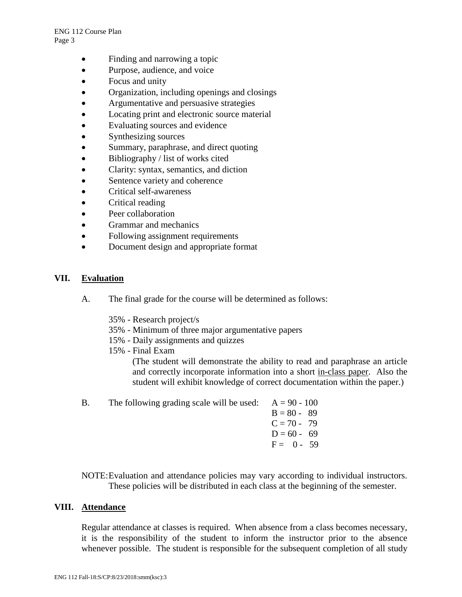- Finding and narrowing a topic
- Purpose, audience, and voice
- Focus and unity
- Organization, including openings and closings
- Argumentative and persuasive strategies
- Locating print and electronic source material
- Evaluating sources and evidence
- Synthesizing sources
- Summary, paraphrase, and direct quoting
- Bibliography / list of works cited
- Clarity: syntax, semantics, and diction
- Sentence variety and coherence
- Critical self-awareness
- Critical reading
- Peer collaboration
- Grammar and mechanics
- Following assignment requirements
- Document design and appropriate format

## **VII. Evaluation**

- A. The final grade for the course will be determined as follows:
	- 35% Research project/s
	- 35% Minimum of three major argumentative papers
	- 15% Daily assignments and quizzes
	- 15% Final Exam

(The student will demonstrate the ability to read and paraphrase an article and correctly incorporate information into a short in-class paper. Also the student will exhibit knowledge of correct documentation within the paper.)

| <b>B.</b> | The following grading scale will be used: $A = 90 - 100$ |               |
|-----------|----------------------------------------------------------|---------------|
|           |                                                          | $B = 80 - 89$ |
|           |                                                          | $C = 70 - 79$ |
|           |                                                          | $D = 60 - 69$ |
|           |                                                          | $F = 0 - 59$  |
|           |                                                          |               |

NOTE:Evaluation and attendance policies may vary according to individual instructors. These policies will be distributed in each class at the beginning of the semester.

#### **VIII. Attendance**

Regular attendance at classes is required. When absence from a class becomes necessary, it is the responsibility of the student to inform the instructor prior to the absence whenever possible. The student is responsible for the subsequent completion of all study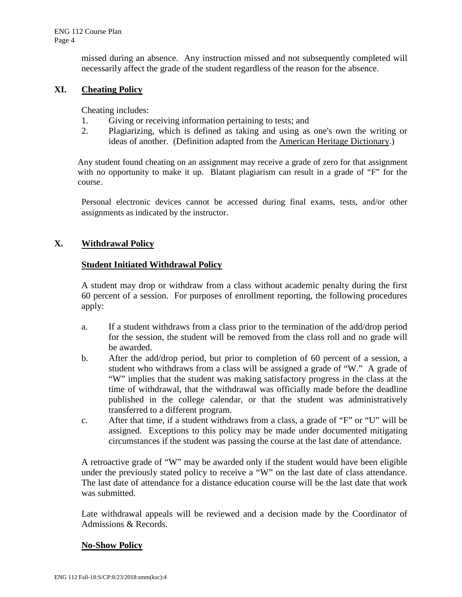missed during an absence. Any instruction missed and not subsequently completed will necessarily affect the grade of the student regardless of the reason for the absence.

# **XI. Cheating Policy**

Cheating includes:

- 1. Giving or receiving information pertaining to tests; and
- 2. Plagiarizing, which is defined as taking and using as one's own the writing or ideas of another. (Definition adapted from the American Heritage Dictionary.)

Any student found cheating on an assignment may receive a grade of zero for that assignment with no opportunity to make it up. Blatant plagiarism can result in a grade of "F" for the course.

Personal electronic devices cannot be accessed during final exams, tests, and/or other assignments as indicated by the instructor.

## **X. Withdrawal Policy**

## **Student Initiated Withdrawal Policy**

A student may drop or withdraw from a class without academic penalty during the first 60 percent of a session. For purposes of enrollment reporting, the following procedures apply:

- a. If a student withdraws from a class prior to the termination of the add/drop period for the session, the student will be removed from the class roll and no grade will be awarded.
- b. After the add/drop period, but prior to completion of 60 percent of a session, a student who withdraws from a class will be assigned a grade of "W." A grade of "W" implies that the student was making satisfactory progress in the class at the time of withdrawal, that the withdrawal was officially made before the deadline published in the college calendar, or that the student was administratively transferred to a different program.
- c. After that time, if a student withdraws from a class, a grade of "F" or "U" will be assigned. Exceptions to this policy may be made under documented mitigating circumstances if the student was passing the course at the last date of attendance.

A retroactive grade of "W" may be awarded only if the student would have been eligible under the previously stated policy to receive a "W" on the last date of class attendance. The last date of attendance for a distance education course will be the last date that work was submitted.

Late withdrawal appeals will be reviewed and a decision made by the Coordinator of Admissions & Records.

#### **No-Show Policy**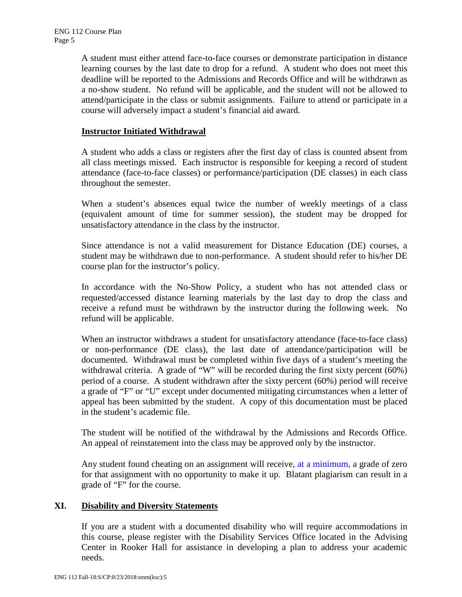A student must either attend face-to-face courses or demonstrate participation in distance learning courses by the last date to drop for a refund. A student who does not meet this deadline will be reported to the Admissions and Records Office and will be withdrawn as a no-show student. No refund will be applicable, and the student will not be allowed to attend/participate in the class or submit assignments. Failure to attend or participate in a course will adversely impact a student's financial aid award.

# **Instructor Initiated Withdrawal**

A student who adds a class or registers after the first day of class is counted absent from all class meetings missed. Each instructor is responsible for keeping a record of student attendance (face-to-face classes) or performance/participation (DE classes) in each class throughout the semester.

When a student's absences equal twice the number of weekly meetings of a class (equivalent amount of time for summer session), the student may be dropped for unsatisfactory attendance in the class by the instructor.

Since attendance is not a valid measurement for Distance Education (DE) courses, a student may be withdrawn due to non-performance. A student should refer to his/her DE course plan for the instructor's policy.

In accordance with the No-Show Policy, a student who has not attended class or requested/accessed distance learning materials by the last day to drop the class and receive a refund must be withdrawn by the instructor during the following week. No refund will be applicable.

When an instructor withdraws a student for unsatisfactory attendance (face-to-face class) or non-performance (DE class), the last date of attendance/participation will be documented. Withdrawal must be completed within five days of a student's meeting the withdrawal criteria. A grade of "W" will be recorded during the first sixty percent (60%) period of a course. A student withdrawn after the sixty percent (60%) period will receive a grade of "F" or "U" except under documented mitigating circumstances when a letter of appeal has been submitted by the student. A copy of this documentation must be placed in the student's academic file.

The student will be notified of the withdrawal by the Admissions and Records Office. An appeal of reinstatement into the class may be approved only by the instructor.

Any student found cheating on an assignment will receive, at a minimum, a grade of zero for that assignment with no opportunity to make it up. Blatant plagiarism can result in a grade of "F" for the course.

## **XI. Disability and Diversity Statements**

If you are a student with a documented disability who will require accommodations in this course, please register with the Disability Services Office located in the Advising Center in Rooker Hall for assistance in developing a plan to address your academic needs.